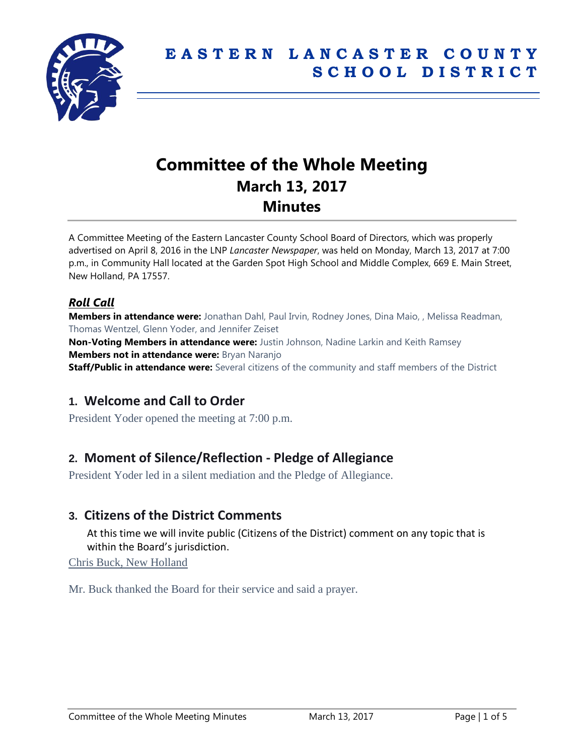

# **Committee of the Whole Meeting March 13, 2017 Minutes**

A Committee Meeting of the Eastern Lancaster County School Board of Directors, which was properly advertised on April 8, 2016 in the LNP *Lancaster Newspaper*, was held on Monday, March 13, 2017 at 7:00 p.m., in Community Hall located at the Garden Spot High School and Middle Complex, 669 E. Main Street, New Holland, PA 17557.

### *Roll Call*

**Members in attendance were:** Jonathan Dahl, Paul Irvin, Rodney Jones, Dina Maio, , Melissa Readman, Thomas Wentzel, Glenn Yoder, and Jennifer Zeiset

**Non-Voting Members in attendance were:** Justin Johnson, Nadine Larkin and Keith Ramsey **Members not in attendance were:** Bryan Naranjo

**Staff/Public in attendance were:** Several citizens of the community and staff members of the District

### **1. Welcome and Call to Order**

President Yoder opened the meeting at 7:00 p.m.

# **2. Moment of Silence/Reflection - Pledge of Allegiance**

President Yoder led in a silent mediation and the Pledge of Allegiance.

### **3. Citizens of the District Comments**

At this time we will invite public (Citizens of the District) comment on any topic that is within the Board's jurisdiction.

Chris Buck, New Holland

Mr. Buck thanked the Board for their service and said a prayer.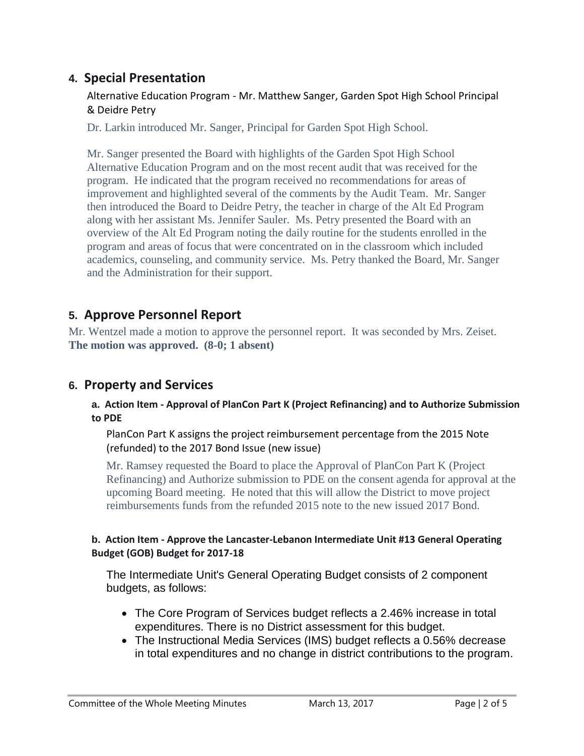# **4. Special Presentation**

#### Alternative Education Program - Mr. Matthew Sanger, Garden Spot High School Principal & Deidre Petry

Dr. Larkin introduced Mr. Sanger, Principal for Garden Spot High School.

Mr. Sanger presented the Board with highlights of the Garden Spot High School Alternative Education Program and on the most recent audit that was received for the program. He indicated that the program received no recommendations for areas of improvement and highlighted several of the comments by the Audit Team. Mr. Sanger then introduced the Board to Deidre Petry, the teacher in charge of the Alt Ed Program along with her assistant Ms. Jennifer Sauler. Ms. Petry presented the Board with an overview of the Alt Ed Program noting the daily routine for the students enrolled in the program and areas of focus that were concentrated on in the classroom which included academics, counseling, and community service. Ms. Petry thanked the Board, Mr. Sanger and the Administration for their support.

# **5. Approve Personnel Report**

Mr. Wentzel made a motion to approve the personnel report. It was seconded by Mrs. Zeiset. **The motion was approved. (8-0; 1 absent)**

### **6. Property and Services**

#### **a. Action Item - Approval of PlanCon Part K (Project Refinancing) and to Authorize Submission to PDE**

PlanCon Part K assigns the project reimbursement percentage from the 2015 Note (refunded) to the 2017 Bond Issue (new issue)

Mr. Ramsey requested the Board to place the Approval of PlanCon Part K (Project Refinancing) and Authorize submission to PDE on the consent agenda for approval at the upcoming Board meeting. He noted that this will allow the District to move project reimbursements funds from the refunded 2015 note to the new issued 2017 Bond.

#### **b. Action Item - Approve the Lancaster-Lebanon Intermediate Unit #13 General Operating Budget (GOB) Budget for 2017-18**

The Intermediate Unit's General Operating Budget consists of 2 component budgets, as follows:

- The Core Program of Services budget reflects a 2.46% increase in total expenditures. There is no District assessment for this budget.
- The Instructional Media Services (IMS) budget reflects a 0.56% decrease in total expenditures and no change in district contributions to the program.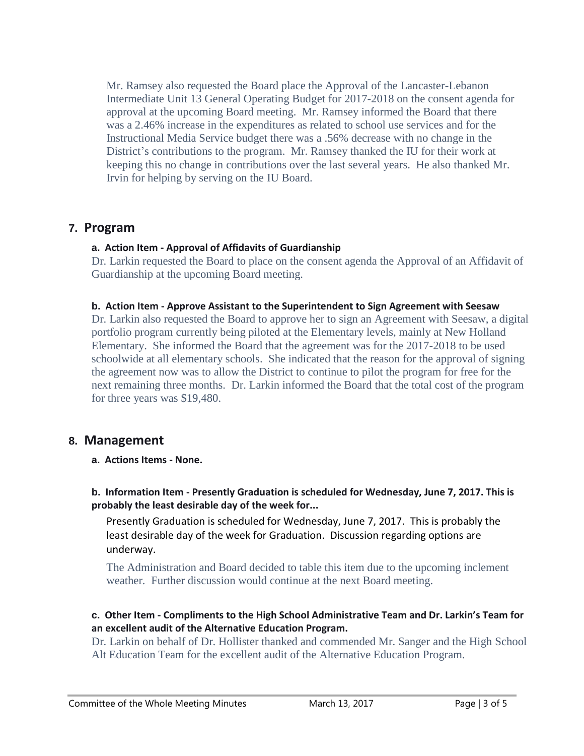Mr. Ramsey also requested the Board place the Approval of the Lancaster-Lebanon Intermediate Unit 13 General Operating Budget for 2017-2018 on the consent agenda for approval at the upcoming Board meeting. Mr. Ramsey informed the Board that there was a 2.46% increase in the expenditures as related to school use services and for the Instructional Media Service budget there was a .56% decrease with no change in the District's contributions to the program. Mr. Ramsey thanked the IU for their work at keeping this no change in contributions over the last several years. He also thanked Mr. Irvin for helping by serving on the IU Board.

#### **7. Program**

#### **a. Action Item - Approval of Affidavits of Guardianship**

Dr. Larkin requested the Board to place on the consent agenda the Approval of an Affidavit of Guardianship at the upcoming Board meeting.

#### **b. Action Item - Approve Assistant to the Superintendent to Sign Agreement with Seesaw**

Dr. Larkin also requested the Board to approve her to sign an Agreement with Seesaw, a digital portfolio program currently being piloted at the Elementary levels, mainly at New Holland Elementary. She informed the Board that the agreement was for the 2017-2018 to be used schoolwide at all elementary schools. She indicated that the reason for the approval of signing the agreement now was to allow the District to continue to pilot the program for free for the next remaining three months. Dr. Larkin informed the Board that the total cost of the program for three years was \$19,480.

#### **8. Management**

**a. Actions Items - None.**

#### **b. Information Item - Presently Graduation is scheduled for Wednesday, June 7, 2017. This is probably the least desirable day of the week for...**

Presently Graduation is scheduled for Wednesday, June 7, 2017. This is probably the least desirable day of the week for Graduation. Discussion regarding options are underway.

The Administration and Board decided to table this item due to the upcoming inclement weather. Further discussion would continue at the next Board meeting.

#### **c. Other Item - Compliments to the High School Administrative Team and Dr. Larkin's Team for an excellent audit of the Alternative Education Program.**

Dr. Larkin on behalf of Dr. Hollister thanked and commended Mr. Sanger and the High School Alt Education Team for the excellent audit of the Alternative Education Program.